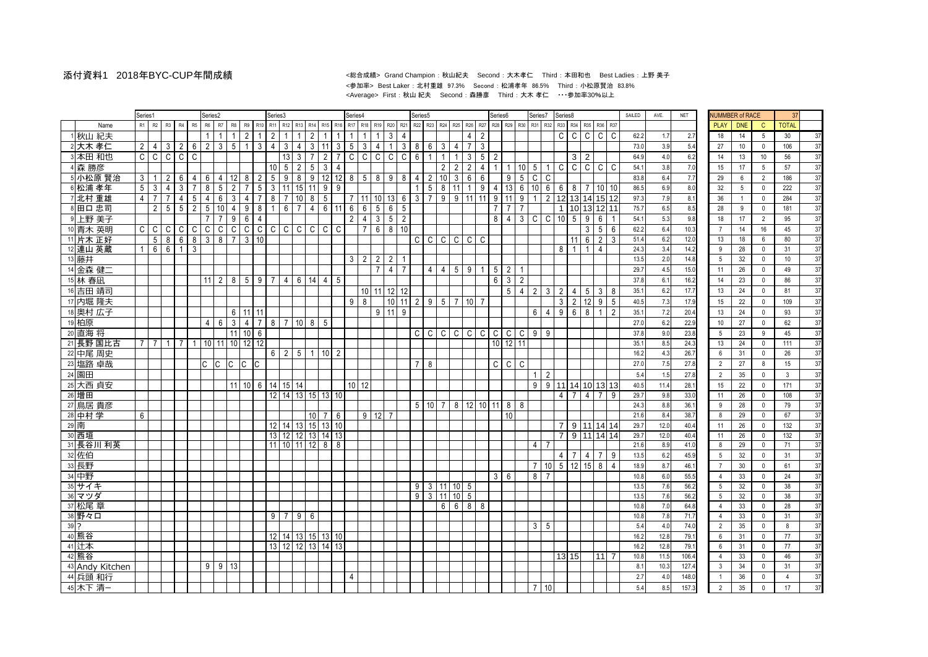## 添付資料1 2018年BYC-CUP年間成績 <sup>&</sup>lt;総合成績<sup>&</sup>gt; Grand Champion : 秋山紀夫 Second : 大木孝仁 Third : 本田和也 Best Ladies : 上野 美子 <参加率> Best Laker : 北村重雄 97.3% Second : 松浦孝年 86.5% Third : 小松原賢治 83.8% <Average> First : 秋山 紀夫 Second : 森勝彦 Third : 大木 孝仁 ・・・参加率30%以上

|        |                      | Series1        |                     |                 |                   |                     | Series2          |                |                 |                |                 | Series3        |                   |                  |                  |                 |                 | Series4         |                 |                 |                |                 | Series <sub>5</sub> |                 |                        |                            |                 |                   | Series6         |                 |                | Series7         |                 | Series8        |                 |                |                     |                | SAILED       | AVE.        | <b>NET</b>   | <b>NUMMBER of RACE</b> |                 |                            | 37             |          |
|--------|----------------------|----------------|---------------------|-----------------|-------------------|---------------------|------------------|----------------|-----------------|----------------|-----------------|----------------|-------------------|------------------|------------------|-----------------|-----------------|-----------------|-----------------|-----------------|----------------|-----------------|---------------------|-----------------|------------------------|----------------------------|-----------------|-------------------|-----------------|-----------------|----------------|-----------------|-----------------|----------------|-----------------|----------------|---------------------|----------------|--------------|-------------|--------------|------------------------|-----------------|----------------------------|----------------|----------|
|        | Name                 | R1             | R2                  | R <sub>3</sub>  | R4                | R5                  | R <sub>6</sub>   | R7             | R <sub>8</sub>  | R9             | R <sub>10</sub> |                | R <sub>12</sub>   | R <sub>13</sub>  |                  | R <sub>15</sub> |                 | R <sub>17</sub> | R <sub>18</sub> | R <sub>19</sub> | R20            | R <sub>21</sub> | R <sub>22</sub>     | R <sub>23</sub> | R24 R25                |                            | R <sub>26</sub> | R27               | <b>R28</b>      | R29             | R30            | R31             | R32             | R33            | R34             | <b>R35</b>     | R36 R37             |                |              |             |              | <b>PLAY</b>            | <b>DNE</b>      | $\mathsf{C}$               | <b>TOTAL</b>   |          |
|        | 1 秋山 紀夫              |                |                     |                 |                   |                     |                  |                |                 | $\overline{2}$ |                 | 2              |                   |                  | $\mathfrak{p}$   |                 |                 |                 |                 |                 | $\mathbf{3}$   | $\Delta$        |                     |                 |                        |                            | $\overline{4}$  | $\overline{2}$    |                 |                 |                |                 |                 | $\mathsf{C}$   | $\overline{c}$  | $\mathsf{C}$   | $\mathsf{C}$        | l C            | 62.2         | 1.7         | 2.7          | 18                     | 14              | 5 <sup>5</sup>             | 30             | 37       |
|        | 2 大木 孝仁              | $\overline{2}$ | 4                   | 3               | $\overline{2}$    | 6                   | 2                | 3 <sup>1</sup> | 5               | $\overline{1}$ | $\mathbf{3}$    | $\overline{4}$ | 3                 | 4                | 3 <sup>1</sup>   | 11              | 3               | 5               | $\mathbf{3}$    | $\overline{4}$  | $\mathbf{1}$   | $\mathbf{3}$    | 8                   | 6               | 3                      | $\overline{4}$             |                 | 3                 |                 |                 |                |                 |                 |                |                 |                |                     |                | 73.0         | 3.9         | 5.4          | 27                     | $10$            | $\mathbf 0$                | 106            | 37       |
|        | 3 本田 和也              | $\mathsf C$    | C                   | $\overline{c}$  | $\mathsf{C}$      | $\overline{c}$      |                  |                |                 |                |                 |                | 13                | 3                |                  | $\overline{2}$  | $\overline{7}$  | $\mathsf{C}$    | $\mathsf{C}$    | $\mathsf{C}$    | C              | C               | $6\phantom{1}$      |                 |                        |                            | 3               | 5                 | $\overline{2}$  |                 |                |                 |                 |                | 3               | $\overline{2}$ |                     |                | 64.9         | 4.0         | 6.2          | 14                     | 13              | 10                         | 56             | 37       |
|        | 4 森勝彦                |                |                     |                 |                   |                     |                  |                |                 |                |                 | 10             | 5                 | $\overline{2}$   | 5                | 3               | $\overline{4}$  |                 |                 |                 |                |                 |                     |                 | $\overline{2}$         | $\overline{2}$             | $\overline{2}$  | $\overline{4}$    |                 |                 | 10             | $5\overline{)}$ |                 | C              | C               | $\overline{c}$ | $C$ $C$             |                | 54.1         | 3.8         | 7.0          | 15                     | 17              | $5\overline{)}$            | 57             | 37       |
|        | 5 小松原 賢治             | $\mathbf{3}$   |                     | $\overline{2}$  | 6                 |                     | 6                | 4              | 12              | 8              | $\overline{2}$  | 5              | 9                 | 8                | 9                | 12              | 12              | 8               | 5               | 8               | 9              | 8               | $\overline{4}$      | $\overline{2}$  | 10                     | 3                          | 6               | 6                 |                 | 9               | 5              | $\mathsf C$     | C               |                |                 |                |                     |                | 83.8         | 6.4         | 7.7          | 29                     | $6\phantom{.0}$ | $\overline{2}$             | 186            | 37       |
|        | 6 松浦 孝年              | 5              |                     | 4               | 3                 |                     | 8                | 5              | $\overline{2}$  |                | 5               | 3              | 11                | 15               |                  | 9               | 9               |                 |                 |                 |                |                 | $\mathbf{1}$        | $5\phantom{.0}$ | 8                      | 11                         |                 | 9                 | 4               | 13              | 6              | 10              | 6               | 6              | 8               |                | 10 <sup>1</sup>     | 10             | 86.5         | 6.9         | 8.0          | 32                     | $5\overline{)}$ | $\mathbf 0$                | 222            | 37       |
|        | 7 北村 重雄              | $\overline{4}$ | $\overline{7}$      | $\overline{7}$  | $\overline{4}$    | 5                   | $\overline{4}$   | 6              | $\mathbf{3}$    | $\overline{4}$ | $\overline{7}$  | 8              | $\overline{7}$    | 10 <sup>10</sup> | 8                | 5               |                 | $\overline{7}$  | 11              | $10$ 13         |                | 6               | 3                   | $\overline{7}$  | 9                      | $9 \mid 11$                |                 | 11                | 9               | 11              | 9              | $\overline{1}$  | $\overline{2}$  | 12             | 13              | 14             | 15 12               |                | 97.3         | 7.9         | 8.1          | 36                     | $\mathbf{1}$    | $\mathsf 0$                | 284            | 37       |
|        | 8 田口忠司               |                | $\overline{2}$      | $5\phantom{.0}$ | 5                 | $\overline{2}$      | 5                | 10             | $\overline{4}$  | 9              | 8               | $\mathbf{1}$   | 6                 | $\overline{7}$   | $\overline{4}$   | 6               | 11              | 6               | 6               | 5 <sub>5</sub>  | 6              | $5\phantom{.0}$ |                     |                 |                        |                            |                 |                   | $\overline{7}$  | $\overline{7}$  | $\overline{7}$ |                 |                 | $\overline{1}$ | 10              | 13             | $12$   11           |                | 75.7         | 6.5         | 8.5          | 28                     | 9               | $\mathbf 0$                | 181            | 37       |
|        | 9 上野 美子              |                |                     |                 |                   |                     | $\overline{7}$   | $\overline{7}$ | 9               | 6              | $\overline{4}$  |                |                   |                  |                  |                 |                 | $\overline{2}$  | $\overline{4}$  | 3 <sup>1</sup>  | 5              | $\overline{2}$  |                     |                 |                        |                            |                 |                   | 8               | $\overline{4}$  | $\mathbf{3}$   | $\mathsf{C}$    | $\mathsf{C}$    | 10             | 5               | 9              | 6                   |                | 54.1         | 5.3         | 9.8          | 18                     | 17              | $\overline{2}$             | 95             | 37       |
|        | 10 青木 英明             | C              | C                   | C               | C                 | C<br>$\overline{8}$ | $\mathsf C$<br>3 | $\mathsf C$    | $\mathtt{C}$    | $\mathsf{C}$   |                 |                | C C C             |                  | $\mathsf{C}$     | $\mathsf C$     | C               |                 | $\overline{7}$  | $6 \quad 8$     |                | 10              |                     |                 |                        |                            |                 |                   |                 |                 |                |                 |                 |                |                 | 3              | 5                   | <b>6</b>       | 62.2<br>51.4 | 6.4<br>6.2  | 10.3<br>12.0 | $7^{\circ}$<br>13      | 14              | 16                         | 45<br>80       | 37<br>37 |
|        | 11 片木 正好<br>12 連山 英蔵 |                | 5<br>6 <sup>1</sup> | 8<br>6          | 6<br>$\mathbf{1}$ | $\overline{3}$      |                  | 8              | $\overline{7}$  | 3 <sup>1</sup> | 10              |                |                   |                  |                  |                 |                 |                 |                 |                 |                |                 |                     |                 |                        |                            | $C C C C C C C$ |                   |                 |                 |                |                 |                 | 8              | 11              | 6              | 2<br>$\overline{4}$ | 3              | 24.3         | 3.4         | 14.2         | 9                      | 18<br>28        | 6<br>$\mathbf 0$           | 31             | 37       |
|        | 13 藤井                |                |                     |                 |                   |                     |                  |                |                 |                |                 |                |                   |                  |                  |                 |                 | 3 I             | 2               | $2 \mid 2$      |                |                 |                     |                 |                        |                            |                 |                   |                 |                 |                |                 |                 |                |                 |                |                     |                | 13.5         | 2.0         | 14.8         | $5\overline{5}$        | 32              | $\mathbf{0}$               | 10             | 37       |
|        | 14 金森健二              |                |                     |                 |                   |                     |                  |                |                 |                |                 |                |                   |                  |                  |                 |                 |                 |                 | $\overline{7}$  | $\overline{4}$ | $\overline{7}$  |                     |                 | $4 \mid 4 \mid 5 \mid$ |                            | 9               | $\mathbf{1}$      | 5 <sup>5</sup>  | $\overline{2}$  |                |                 |                 |                |                 |                |                     |                | 29.7         | 4.5         | 15.0         | 11                     | 26              | $\mathbf 0$                | 49             | 37       |
|        | 15 林 春凪              |                |                     |                 |                   |                     | 11               | $\overline{2}$ | 8               | 5 <sup>5</sup> | 9               | $\overline{7}$ | $\overline{4}$    | 6                | 14               | 4               | 5               |                 |                 |                 |                |                 |                     |                 |                        |                            |                 |                   | 6               | 3               | 2              |                 |                 |                |                 |                |                     |                | 37.8         | 6.1         | 16.2         | 14                     | 23              | $\mathbf{0}$               | 86             | 37       |
|        | 16 吉田 靖司             |                |                     |                 |                   |                     |                  |                |                 |                |                 |                |                   |                  |                  |                 |                 |                 |                 |                 | 10 11 12 12    |                 |                     |                 |                        |                            |                 |                   |                 | $5 \mid 4$      |                | $2^{\circ}$     | $\mathbf{3}$    | 2              | 4               | 5 <sup>1</sup> | $3 \quad 8$         |                | 35.1         | 6.2         | 17.7         | 13                     | 24              | $\mathbf 0$                | 81             | 37       |
|        | 17 内堀 隆夫             |                |                     |                 |                   |                     |                  |                |                 |                |                 |                |                   |                  |                  |                 |                 | 9               | 8               |                 |                | $10$ 11 2       |                     |                 |                        |                            | 95707           |                   |                 |                 |                |                 |                 | $\mathbf{3}$   | $\overline{2}$  | 12             | 9                   | 5              | 40.5         | 7.3         | 17.9         | 15                     | 22              | $\mathbf{0}$               | 109            | 37       |
|        | 18 奥村 広子             |                |                     |                 |                   |                     |                  |                |                 | 6 11 11        |                 |                |                   |                  |                  |                 |                 |                 |                 | $9 \mid 11$     |                | 9               |                     |                 |                        |                            |                 |                   |                 |                 |                | 6               | $\overline{4}$  | 9              | 6               | 8              | $\overline{1}$      | $\overline{2}$ | 35.1         | 7.2         | 20.4         | 13                     | 24              | $\mathbf 0$                | 93             | 37       |
|        | 19 柏原                |                |                     |                 |                   |                     | $\overline{4}$   | 6              | 3               |                | $4\overline{7}$ | 8 <sup>1</sup> |                   | $7 \mid 10$      |                  | 85              |                 |                 |                 |                 |                |                 |                     |                 |                        |                            |                 |                   |                 |                 |                |                 |                 |                |                 |                |                     |                | 27.0         | 6.2         | 22.9         | 10 <sup>°</sup>        | 27              | $\mathbf{0}$               | 62             | 37       |
|        | 20 直海 将              |                |                     |                 |                   |                     |                  |                | 11              | 10             | $6\phantom{1}6$ |                |                   |                  |                  |                 |                 |                 |                 |                 |                |                 |                     | $C$ $C$         |                        | C C C                      |                 | $\mathsf{C}$      | $\mathsf{C}$    | $\frac{1}{2}$   |                | $9 \mid 9$      |                 |                |                 |                |                     |                | 37.8         | 9.0         | 23.8         | 5                      | 23              | 9                          | 45             | 37       |
|        | 21 長野 国比古            | 7 <sup>1</sup> | - 7 I               | $\mathbf{1}$    | $\overline{7}$    | 1 <sup>1</sup>      | 10 <sup>1</sup>  | 11             | 10 <sup>1</sup> | 12             | 12              |                |                   |                  |                  |                 |                 |                 |                 |                 |                |                 |                     |                 |                        |                            |                 |                   | 10 <sup>1</sup> | $12 \ 11$       |                |                 |                 |                |                 |                |                     |                | 35.1         | 8.5         | 24.3         | 13                     | 24              | $\mathbf 0$                | 111            | 37       |
|        | 22 中尾 周史             |                |                     |                 |                   |                     |                  |                |                 |                |                 |                | $6 \mid 2 \mid 5$ |                  | $\overline{1}$   | 10 <sup>1</sup> | $\overline{2}$  |                 |                 |                 |                |                 |                     |                 |                        |                            |                 |                   |                 |                 |                |                 |                 |                |                 |                |                     |                | 16.2         | 4.3         | 26.7         | $6\overline{6}$        | 31              | $\mathsf 0$                | 26             | 37       |
|        | 23 塩路 卓哉             |                |                     |                 |                   |                     | c c              |                | <b>C</b>        | lC.            | ТC              |                |                   |                  |                  |                 |                 |                 |                 |                 |                |                 | $7^{\circ}$         | 8               |                        |                            |                 |                   | $\mathsf{C}$    | C               | C              |                 |                 |                |                 |                |                     |                | 27.0         | 7.5         | 27.8         | $\overline{2}$         | 27              | 8                          | 15             | 37       |
|        | 24 園田                |                |                     |                 |                   |                     |                  |                |                 |                |                 |                |                   |                  |                  |                 |                 |                 |                 |                 |                |                 |                     |                 |                        |                            |                 |                   |                 |                 |                |                 | 2               |                |                 |                |                     |                | 5.4          | 1.5         | 27.8         | $\overline{2}$         | 35              | $\mathbf{0}$               | $\mathbf{3}$   | 37       |
|        | 25 大西 貞安             |                |                     |                 |                   |                     |                  |                |                 | 11 10          | 6               |                | 14 15             | 14               |                  |                 |                 | $10$ 12         |                 |                 |                |                 |                     |                 |                        |                            |                 |                   |                 |                 |                | 9 <sup>1</sup>  | 9               | 11             |                 |                | 14 10 13 13         |                | 40.5         | 11.4        | 28.1         | 15                     | 22              | $\mathbf{0}$               | 171            | 37       |
|        | 26 増田                |                |                     |                 |                   |                     |                  |                |                 |                |                 |                | 12 14 13 15 13    |                  |                  |                 | 10              |                 |                 |                 |                |                 |                     |                 |                        |                            |                 |                   |                 |                 |                |                 |                 | $\overline{4}$ | $\overline{7}$  | $\overline{4}$ | $\overline{7}$      | -9             | 29.7         | 9.8         | 33.0         | 11                     | 26              | $\mathbf 0$                | 108            | 37       |
|        | 27 鳥居 貴彦             |                |                     |                 |                   |                     |                  |                |                 |                |                 |                |                   |                  |                  |                 |                 |                 |                 |                 |                |                 |                     |                 |                        |                            |                 | 5 10 7 8 12 10 11 |                 | $8 \mid 8$      |                |                 |                 |                |                 |                |                     |                | 24.3         | 8.8         | 36.1         | 9                      | 28              | $\mathbf{0}$               | 79             | 37       |
|        | 28 中村学               | 6              |                     |                 |                   |                     |                  |                |                 |                |                 |                |                   |                  | 10 <sup>1</sup>  | $\overline{7}$  | 6               |                 |                 | $9 \mid 12$     | $\overline{7}$ |                 |                     |                 |                        |                            |                 |                   |                 | 10 <sup>°</sup> |                |                 |                 |                |                 |                |                     |                | 21.6         | 8.4         | 38.7         | 8                      | 29              | $\mathbf 0$                | 67             | 37       |
|        | 29 南                 |                |                     |                 |                   |                     |                  |                |                 |                |                 |                | 12 14             | 13               | 15               | 13              | 10 <sup>°</sup> |                 |                 |                 |                |                 |                     |                 |                        |                            |                 |                   |                 |                 |                |                 |                 | $\overline{7}$ | 9               |                | 11 14 14            |                | 29.7         | 12.0        | 40.4         | 11                     | 26              | $\mathbf 0$                | 132            | 37       |
|        | 30 西垣<br>31 長谷川 利英   |                |                     |                 |                   |                     |                  |                |                 |                |                 | 13             | 12<br>$11$ 10 11  | 12               | 13               | 14<br>8         | 13<br>8         |                 |                 |                 |                |                 |                     |                 |                        |                            |                 |                   |                 |                 |                | $\overline{4}$  | $\overline{7}$  | $\overline{7}$ | $\overline{9}$  | 11             | 14 14               |                | 29.7<br>21.6 | 12.0<br>8.9 | 40.4<br>41.0 | 11<br>8                | $26\,$<br>29    | $\mathbf 0$<br>$\mathbf 0$ | 132<br>71      | 37<br>37 |
|        | 32 佐伯                |                |                     |                 |                   |                     |                  |                |                 |                |                 |                |                   |                  | 12               |                 |                 |                 |                 |                 |                |                 |                     |                 |                        |                            |                 |                   |                 |                 |                |                 |                 | $\overline{4}$ | $\overline{7}$  | $\overline{4}$ | $\overline{7}$      | <b>9</b>       | 13.5         | 6.2         | 45.9         | 5 <sub>5</sub>         | 32              | $\mathbf 0$                | 31             | 37       |
|        | 33 長野                |                |                     |                 |                   |                     |                  |                |                 |                |                 |                |                   |                  |                  |                 |                 |                 |                 |                 |                |                 |                     |                 |                        |                            |                 |                   |                 |                 |                | $\overline{7}$  | 10 <sup>1</sup> | 5 <sup>5</sup> | $\overline{12}$ | 15             | 8                   |                | 18.9         | 8.7         | 46.1         | $\overline{7}$         | 30              | $\mathbf 0$                | 61             | 37       |
|        | 34 中野                |                |                     |                 |                   |                     |                  |                |                 |                |                 |                |                   |                  |                  |                 |                 |                 |                 |                 |                |                 |                     |                 |                        |                            |                 |                   | 3               | 6               |                | 8 <sup>1</sup>  | $\overline{7}$  |                |                 |                |                     |                | 10.8         | 6.0         | 55.5         | $\overline{4}$         | 33              | $\mathbf 0$                | 24             | 37       |
|        | 35 サイキ               |                |                     |                 |                   |                     |                  |                |                 |                |                 |                |                   |                  |                  |                 |                 |                 |                 |                 |                |                 | 9                   |                 |                        | $3 \mid 11 \mid 10 \mid 5$ |                 |                   |                 |                 |                |                 |                 |                |                 |                |                     |                | 13.5         | 7.6         | 56.2         | $5\phantom{.0}$        | 32              | $\mathbf 0$                | 38             | 37       |
|        | 36 マツダ               |                |                     |                 |                   |                     |                  |                |                 |                |                 |                |                   |                  |                  |                 |                 |                 |                 |                 |                |                 | 9 <sup>1</sup>      | 3               | 11                     | 10                         | $\overline{5}$  |                   |                 |                 |                |                 |                 |                |                 |                |                     |                | 13.5         | 7.6         | 56.2         | $5\overline{)}$        | 32              | $\mathbf 0$                | 38             | 37       |
|        | 37 松尾 章              |                |                     |                 |                   |                     |                  |                |                 |                |                 |                |                   |                  |                  |                 |                 |                 |                 |                 |                |                 |                     |                 | 6                      | 6                          | $8 \quad 8$     |                   |                 |                 |                |                 |                 |                |                 |                |                     |                | 10.8         | 7.0         | 64.8         | $\overline{4}$         | 33              | $\mathbf 0$                | 28             | 37       |
|        | 38 野々口               |                |                     |                 |                   |                     |                  |                |                 |                |                 | 9 <sup>1</sup> | 7 <sup>1</sup>    | 9                | $6 \overline{6}$ |                 |                 |                 |                 |                 |                |                 |                     |                 |                        |                            |                 |                   |                 |                 |                |                 |                 |                |                 |                |                     |                | 10.8         | 7.8         | 71.7         | $\overline{4}$         | 33              | $\mathbb O$                | 31             | 37       |
| $39$ ? |                      |                |                     |                 |                   |                     |                  |                |                 |                |                 |                |                   |                  |                  |                 |                 |                 |                 |                 |                |                 |                     |                 |                        |                            |                 |                   |                 |                 |                | $3 \quad 5$     |                 |                |                 |                |                     |                | 5.4          | 4.0         | 74.0         | $\overline{2}$         | 35              | $\mathbf 0$                | 8              | 37       |
|        | 40 熊谷                |                |                     |                 |                   |                     |                  |                |                 |                |                 |                | $12$ 14 13        |                  |                  | 15 13           | 10 <sup>1</sup> |                 |                 |                 |                |                 |                     |                 |                        |                            |                 |                   |                 |                 |                |                 |                 |                |                 |                |                     |                | 16.2         | 12.8        | 79.1         | $6\overline{6}$        | 31              | $\mathbf{0}$               | 77             | 37       |
|        | 41 辻本                |                |                     |                 |                   |                     |                  |                |                 |                |                 |                | $13$ 12           | 12               | 13               | 14              | 13              |                 |                 |                 |                |                 |                     |                 |                        |                            |                 |                   |                 |                 |                |                 |                 |                |                 |                |                     |                | 16.2         | 12.8        | 79.1         | 6                      | 31              | $\mathbf 0$                | 77             | 37       |
|        | 42 能谷                |                |                     |                 |                   |                     |                  |                |                 |                |                 |                |                   |                  |                  |                 |                 |                 |                 |                 |                |                 |                     |                 |                        |                            |                 |                   |                 |                 |                |                 |                 | 13 15          |                 |                | $11$ $7$            |                | 10.8         | 11.5        | 106.4        | $\overline{4}$         | 33              | $\mathbf 0$                | 46             | 37       |
|        | 43 Andy Kitchen      |                |                     |                 |                   |                     | 9                | 9              | 13              |                |                 |                |                   |                  |                  |                 |                 |                 |                 |                 |                |                 |                     |                 |                        |                            |                 |                   |                 |                 |                |                 |                 |                |                 |                |                     |                | 8.1          | 10.3        | 127.4        | 3                      | 34              | $\mathbf 0$                | 31             | 37       |
|        | 44 兵頭 和行             |                |                     |                 |                   |                     |                  |                |                 |                |                 |                |                   |                  |                  |                 |                 | 4               |                 |                 |                |                 |                     |                 |                        |                            |                 |                   |                 |                 |                |                 |                 |                |                 |                |                     |                | 2.7          | 4.0         | 148.0        |                        | 36              | $^{\circ}$                 | $\overline{4}$ | 37       |
|        | 45 木下清一              |                |                     |                 |                   |                     |                  |                |                 |                |                 |                |                   |                  |                  |                 |                 |                 |                 |                 |                |                 |                     |                 |                        |                            |                 |                   |                 |                 |                | $\overline{7}$  | 10              |                |                 |                |                     |                | 5.4          | 8.5         | 157.3        | $\overline{2}$         | 35              | $\mathbf{0}$               | 17             | 37       |